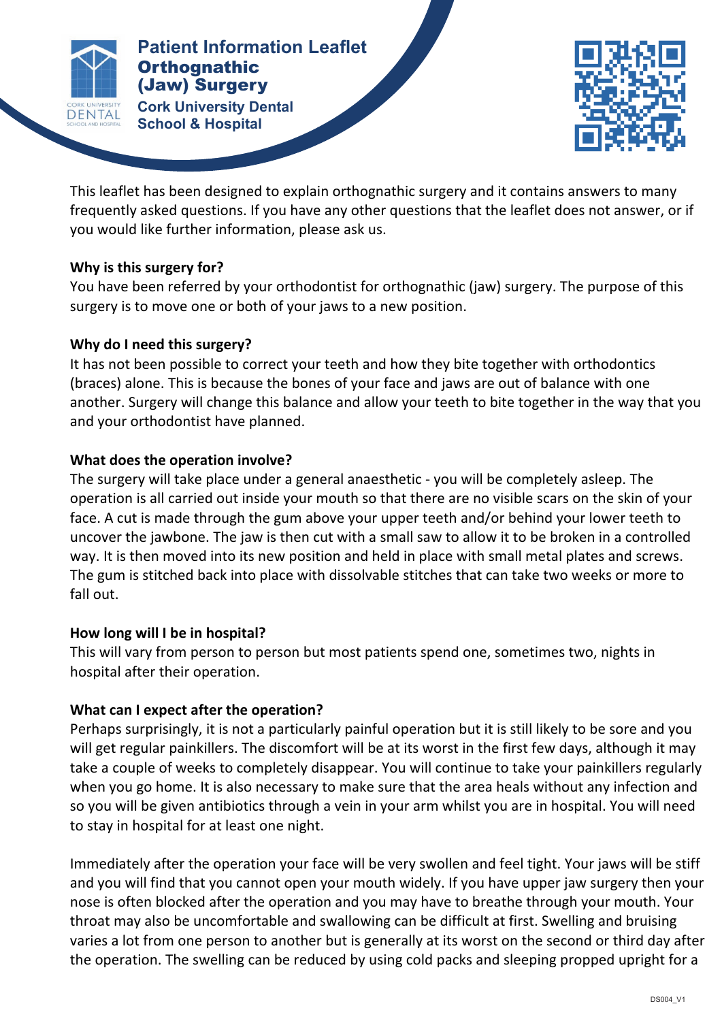

**Patients Cork University Dental <b>Corpuse Corpuse Corpuse Patient Information Leaflet Orthognathic** (Jaw) Surgery

**School & Hospital**



This leaflet has been designed to explain orthognathic surgery and it contains answers to many frequently asked questions. If you have any other questions that the leaflet does not answer, or if you would like further information, please ask us.

## **Why is this surgery for?**

You have been referred by your orthodontist for orthognathic (jaw) surgery. The purpose of this surgery is to move one or both of your jaws to a new position.

# Why do I need this surgery?

It has not been possible to correct your teeth and how they bite together with orthodontics (braces) alone. This is because the bones of your face and jaws are out of balance with one another. Surgery will change this balance and allow your teeth to bite together in the way that you and your orthodontist have planned.

# **What does the operation involve?**

The surgery will take place under a general anaesthetic - you will be completely asleep. The operation is all carried out inside your mouth so that there are no visible scars on the skin of your face. A cut is made through the gum above your upper teeth and/or behind your lower teeth to uncover the jawbone. The jaw is then cut with a small saw to allow it to be broken in a controlled way. It is then moved into its new position and held in place with small metal plates and screws. The gum is stitched back into place with dissolvable stitches that can take two weeks or more to fall out.

## How long will I be in hospital?

This will vary from person to person but most patients spend one, sometimes two, nights in hospital after their operation.

# What can I expect after the operation?

Perhaps surprisingly, it is not a particularly painful operation but it is still likely to be sore and you will get regular painkillers. The discomfort will be at its worst in the first few days, although it may take a couple of weeks to completely disappear. You will continue to take your painkillers regularly when you go home. It is also necessary to make sure that the area heals without any infection and so you will be given antibiotics through a vein in your arm whilst you are in hospital. You will need to stay in hospital for at least one night.

Immediately after the operation your face will be very swollen and feel tight. Your jaws will be stiff and you will find that you cannot open your mouth widely. If you have upper jaw surgery then your nose is often blocked after the operation and you may have to breathe through your mouth. Your throat may also be uncomfortable and swallowing can be difficult at first. Swelling and bruising varies a lot from one person to another but is generally at its worst on the second or third day after the operation. The swelling can be reduced by using cold packs and sleeping propped upright for a